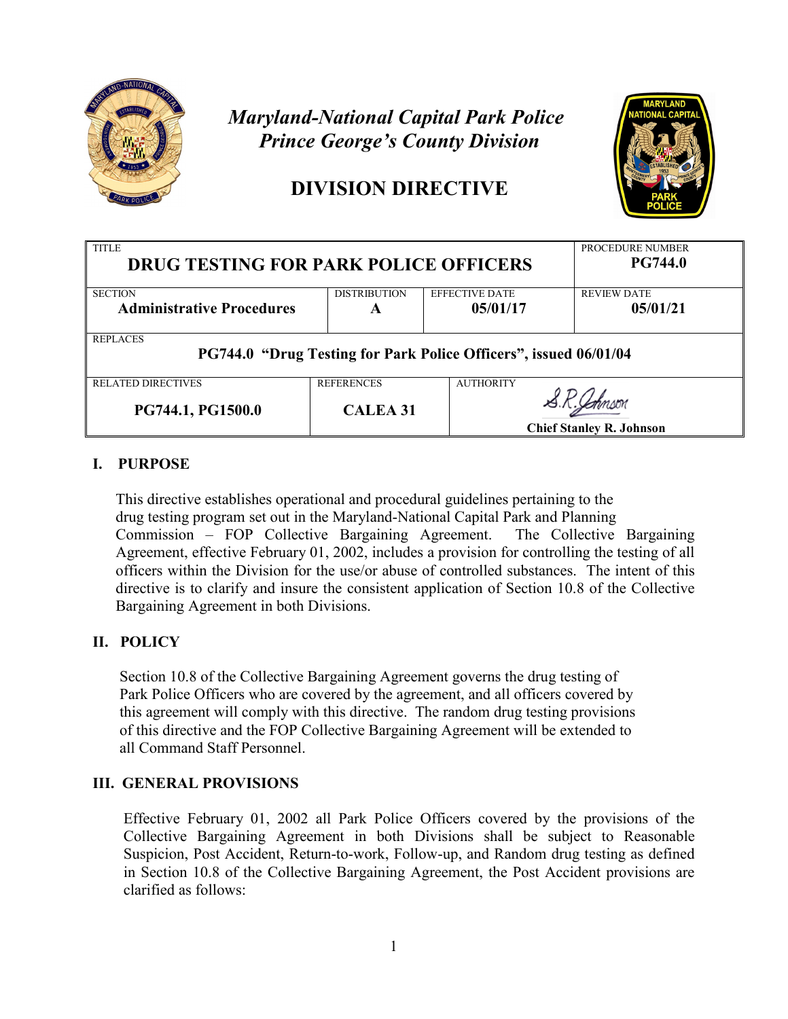

# *Maryland-National Capital Park Police Prince George's County Division*

## **DIVISION DIRECTIVE**



| <b>TITLE</b><br><b>DRUG TESTING FOR PARK POLICE OFFICERS</b>                        | PROCEDURE NUMBER<br><b>PG744.0</b> |                       |                                 |  |  |  |  |
|-------------------------------------------------------------------------------------|------------------------------------|-----------------------|---------------------------------|--|--|--|--|
| <b>SECTION</b>                                                                      | <b>DISTRIBUTION</b>                | <b>EFFECTIVE DATE</b> | <b>REVIEW DATE</b>              |  |  |  |  |
| <b>Administrative Procedures</b>                                                    | A                                  | 05/01/17              | 05/01/21                        |  |  |  |  |
| <b>REPLACES</b><br>PG744.0 "Drug Testing for Park Police Officers", issued 06/01/04 |                                    |                       |                                 |  |  |  |  |
| <b>RELATED DIRECTIVES</b>                                                           | <b>REFERENCES</b>                  | <b>AUTHORITY</b>      |                                 |  |  |  |  |
| PG744.1, PG1500.0                                                                   | <b>CALEA 31</b>                    |                       |                                 |  |  |  |  |
|                                                                                     |                                    |                       | <b>Chief Stanley R. Johnson</b> |  |  |  |  |

### **I. PURPOSE**

 This directive establishes operational and procedural guidelines pertaining to the drug testing program set out in the Maryland-National Capital Park and Planning Commission – FOP Collective Bargaining Agreement. The Collective Bargaining Agreement, effective February 01, 2002, includes a provision for controlling the testing of all officers within the Division for the use/or abuse of controlled substances. The intent of this directive is to clarify and insure the consistent application of Section 10.8 of the Collective Bargaining Agreement in both Divisions.

## **II. POLICY**

 Section 10.8 of the Collective Bargaining Agreement governs the drug testing of Park Police Officers who are covered by the agreement, and all officers covered by this agreement will comply with this directive. The random drug testing provisions of this directive and the FOP Collective Bargaining Agreement will be extended to all Command Staff Personnel.

### **III. GENERAL PROVISIONS**

Effective February 01, 2002 all Park Police Officers covered by the provisions of the Collective Bargaining Agreement in both Divisions shall be subject to Reasonable Suspicion, Post Accident, Return-to-work, Follow-up, and Random drug testing as defined in Section 10.8 of the Collective Bargaining Agreement, the Post Accident provisions are clarified as follows: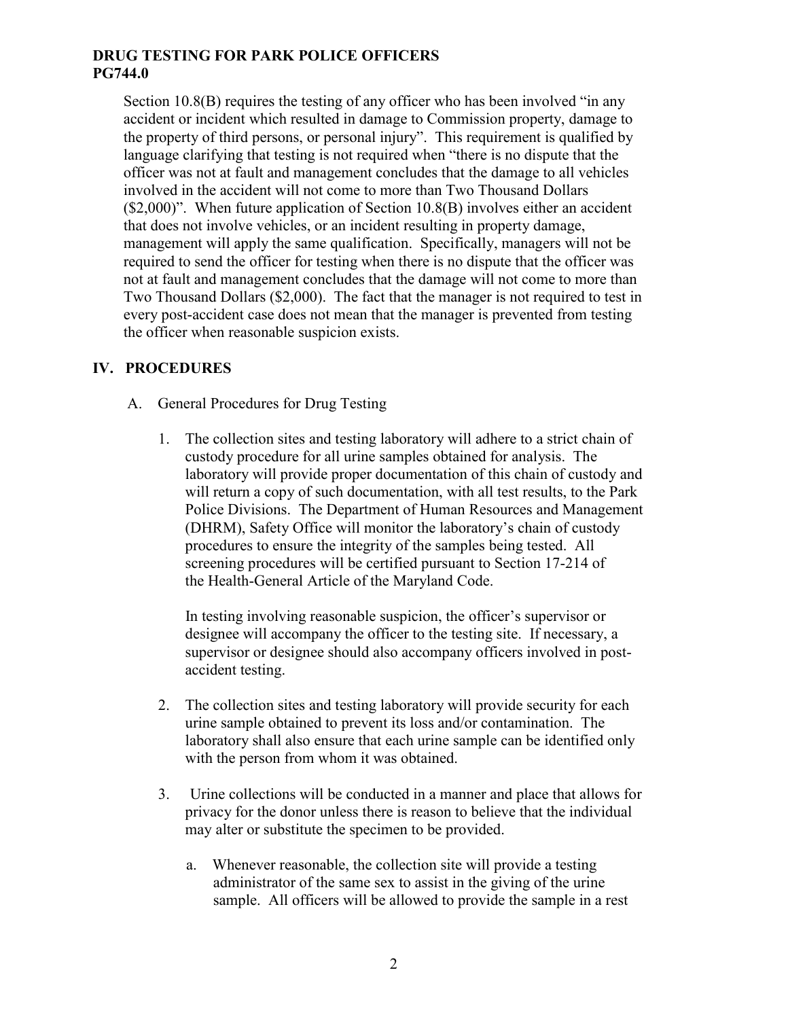Section 10.8(B) requires the testing of any officer who has been involved "in any accident or incident which resulted in damage to Commission property, damage to the property of third persons, or personal injury". This requirement is qualified by language clarifying that testing is not required when "there is no dispute that the officer was not at fault and management concludes that the damage to all vehicles involved in the accident will not come to more than Two Thousand Dollars (\$2,000)". When future application of Section 10.8(B) involves either an accident that does not involve vehicles, or an incident resulting in property damage, management will apply the same qualification. Specifically, managers will not be required to send the officer for testing when there is no dispute that the officer was not at fault and management concludes that the damage will not come to more than Two Thousand Dollars (\$2,000). The fact that the manager is not required to test in every post-accident case does not mean that the manager is prevented from testing the officer when reasonable suspicion exists.

#### **IV. PROCEDURES**

- A. General Procedures for Drug Testing
	- 1. The collection sites and testing laboratory will adhere to a strict chain of custody procedure for all urine samples obtained for analysis. The laboratory will provide proper documentation of this chain of custody and will return a copy of such documentation, with all test results, to the Park Police Divisions. The Department of Human Resources and Management (DHRM), Safety Office will monitor the laboratory's chain of custody procedures to ensure the integrity of the samples being tested. All screening procedures will be certified pursuant to Section 17-214 of the Health-General Article of the Maryland Code.

 In testing involving reasonable suspicion, the officer's supervisor or designee will accompany the officer to the testing site. If necessary, a supervisor or designee should also accompany officers involved in post accident testing.

- 2. The collection sites and testing laboratory will provide security for each urine sample obtained to prevent its loss and/or contamination. The laboratory shall also ensure that each urine sample can be identified only with the person from whom it was obtained.
- 3. Urine collections will be conducted in a manner and place that allows for privacy for the donor unless there is reason to believe that the individual may alter or substitute the specimen to be provided.
	- a. Whenever reasonable, the collection site will provide a testing administrator of the same sex to assist in the giving of the urine sample. All officers will be allowed to provide the sample in a rest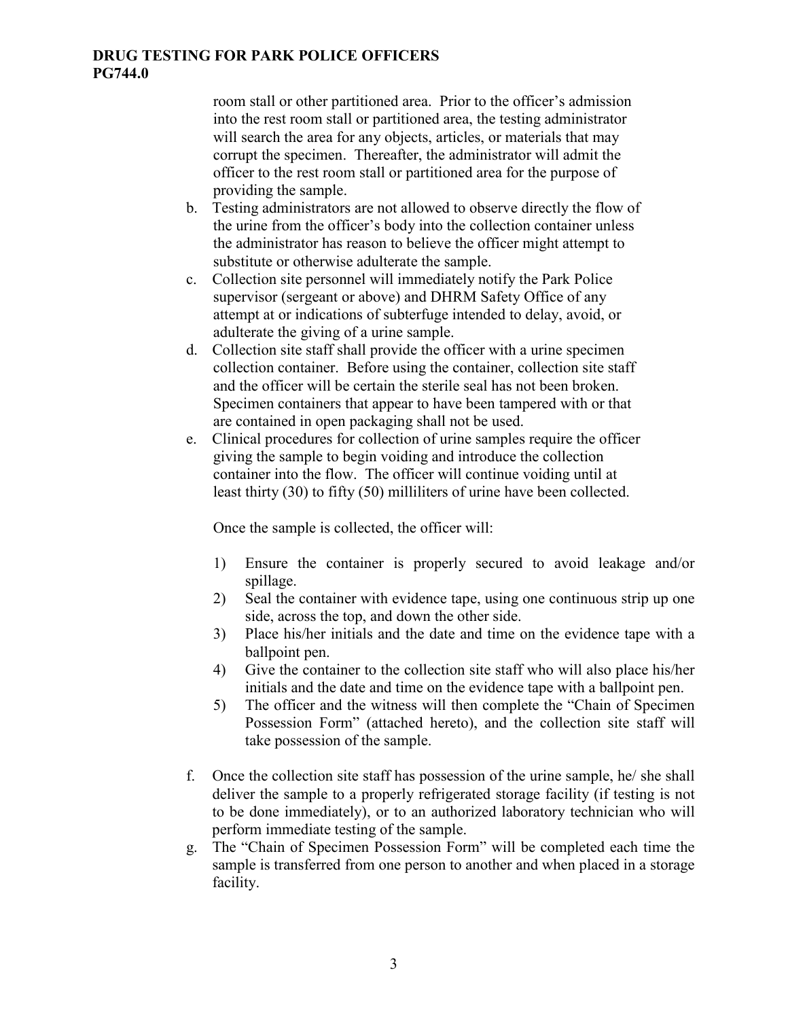room stall or other partitioned area. Prior to the officer's admission into the rest room stall or partitioned area, the testing administrator will search the area for any objects, articles, or materials that may corrupt the specimen. Thereafter, the administrator will admit the officer to the rest room stall or partitioned area for the purpose of providing the sample.

- b. Testing administrators are not allowed to observe directly the flow of the urine from the officer's body into the collection container unless the administrator has reason to believe the officer might attempt to substitute or otherwise adulterate the sample.
- c. Collection site personnel will immediately notify the Park Police supervisor (sergeant or above) and DHRM Safety Office of any attempt at or indications of subterfuge intended to delay, avoid, or adulterate the giving of a urine sample.
- d. Collection site staff shall provide the officer with a urine specimen collection container. Before using the container, collection site staff and the officer will be certain the sterile seal has not been broken. Specimen containers that appear to have been tampered with or that are contained in open packaging shall not be used.
- e. Clinical procedures for collection of urine samples require the officer giving the sample to begin voiding and introduce the collection container into the flow. The officer will continue voiding until at least thirty (30) to fifty (50) milliliters of urine have been collected.

Once the sample is collected, the officer will:

- 1) Ensure the container is properly secured to avoid leakage and/or spillage.
- 2) Seal the container with evidence tape, using one continuous strip up one side, across the top, and down the other side.
- 3) Place his/her initials and the date and time on the evidence tape with a ballpoint pen.
- 4) Give the container to the collection site staff who will also place his/her initials and the date and time on the evidence tape with a ballpoint pen.
- 5) The officer and the witness will then complete the "Chain of Specimen Possession Form" (attached hereto), and the collection site staff will take possession of the sample.
- f. Once the collection site staff has possession of the urine sample, he/ she shall deliver the sample to a properly refrigerated storage facility (if testing is not to be done immediately), or to an authorized laboratory technician who will perform immediate testing of the sample.
- g. The "Chain of Specimen Possession Form" will be completed each time the sample is transferred from one person to another and when placed in a storage facility.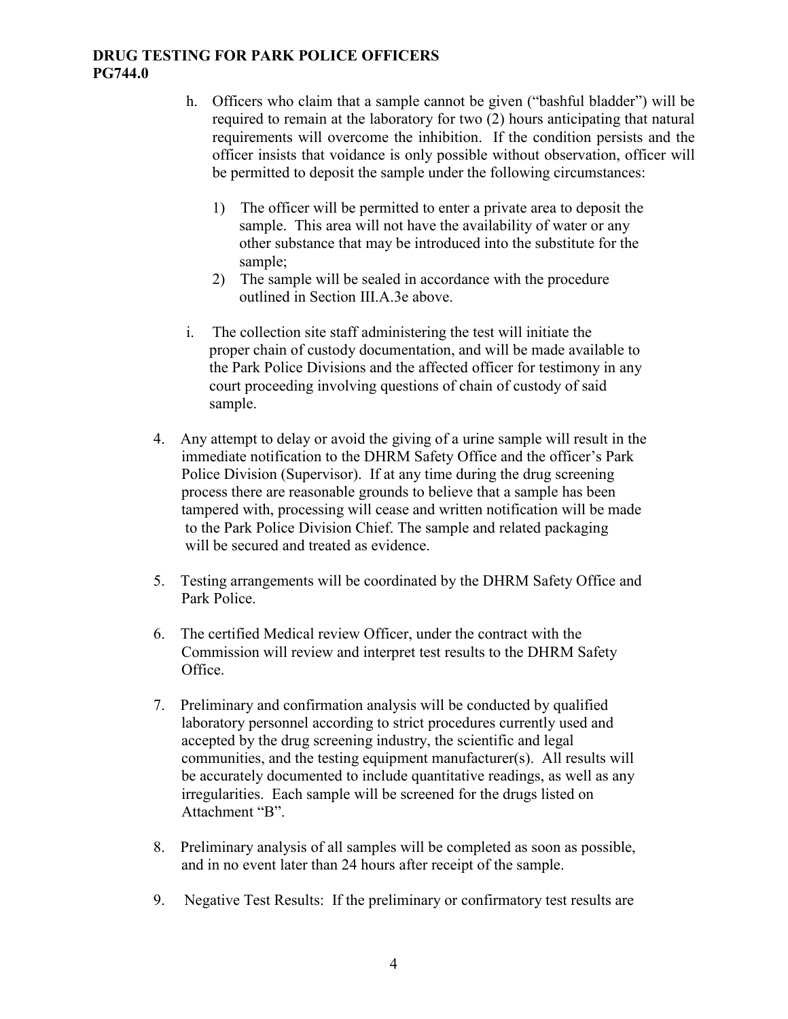- h. Officers who claim that a sample cannot be given ("bashful bladder") will be required to remain at the laboratory for two (2) hours anticipating that natural requirements will overcome the inhibition. If the condition persists and the officer insists that voidance is only possible without observation, officer will be permitted to deposit the sample under the following circumstances:
	- 1) The officer will be permitted to enter a private area to deposit the sample. This area will not have the availability of water or any other substance that may be introduced into the substitute for the sample;
	- 2) The sample will be sealed in accordance with the procedure outlined in Section III.A.3e above.
- i. The collection site staff administering the test will initiate the proper chain of custody documentation, and will be made available to the Park Police Divisions and the affected officer for testimony in any court proceeding involving questions of chain of custody of said sample.
- 4. Any attempt to delay or avoid the giving of a urine sample will result in the immediate notification to the DHRM Safety Office and the officer's Park Police Division (Supervisor). If at any time during the drug screening process there are reasonable grounds to believe that a sample has been tampered with, processing will cease and written notification will be made to the Park Police Division Chief. The sample and related packaging will be secured and treated as evidence.
- 5. Testing arrangements will be coordinated by the DHRM Safety Office and Park Police.
- 6. The certified Medical review Officer, under the contract with the Commission will review and interpret test results to the DHRM Safety Office.
- 7. Preliminary and confirmation analysis will be conducted by qualified laboratory personnel according to strict procedures currently used and accepted by the drug screening industry, the scientific and legal communities, and the testing equipment manufacturer(s). All results will be accurately documented to include quantitative readings, as well as any irregularities. Each sample will be screened for the drugs listed on Attachment "B".
- 8. Preliminary analysis of all samples will be completed as soon as possible, and in no event later than 24 hours after receipt of the sample.
- 9. Negative Test Results: If the preliminary or confirmatory test results are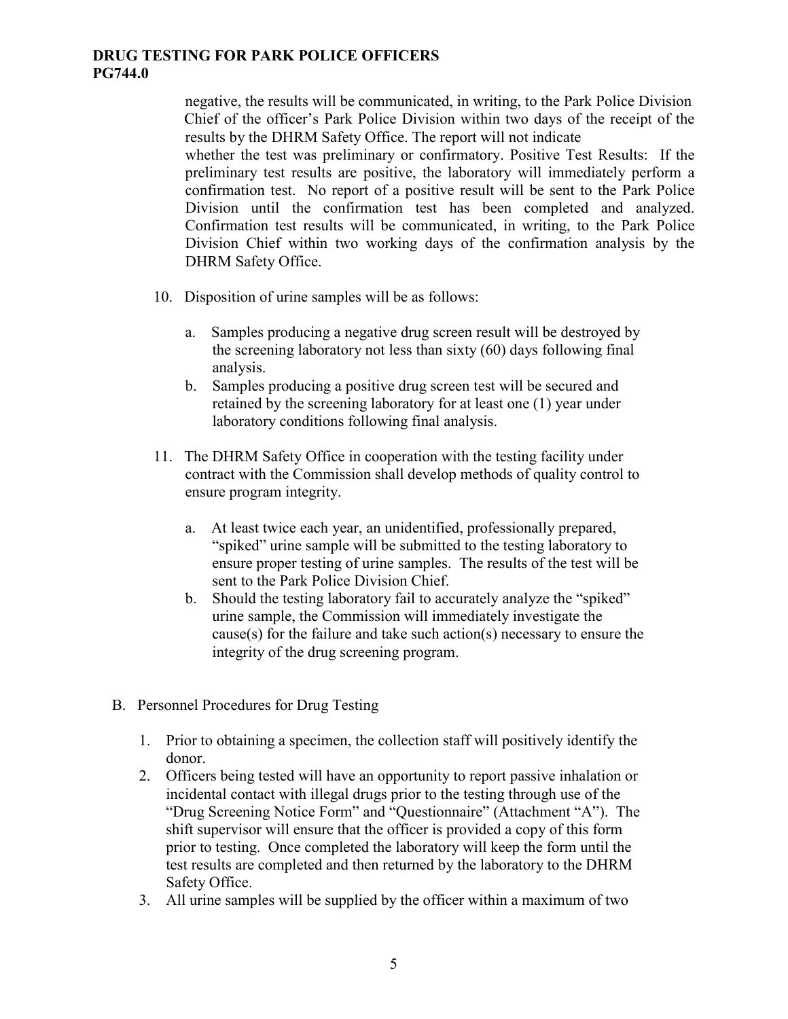negative, the results will be communicated, in writing, to the Park Police Division Chief of the officer's Park Police Division within two days of the receipt of the results by the DHRM Safety Office. The report will not indicate whether the test was preliminary or confirmatory. Positive Test Results: If the preliminary test results are positive, the laboratory will immediately perform a confirmation test. No report of a positive result will be sent to the Park Police Division until the confirmation test has been completed and analyzed. Confirmation test results will be communicated, in writing, to the Park Police Division Chief within two working days of the confirmation analysis by the

10. Disposition of urine samples will be as follows:

DHRM Safety Office.

- a. Samples producing a negative drug screen result will be destroyed by the screening laboratory not less than sixty (60) days following final analysis.
- b. Samples producing a positive drug screen test will be secured and retained by the screening laboratory for at least one (1) year under laboratory conditions following final analysis.
- 11. The DHRM Safety Office in cooperation with the testing facility under contract with the Commission shall develop methods of quality control to ensure program integrity.
	- a. At least twice each year, an unidentified, professionally prepared, "spiked" urine sample will be submitted to the testing laboratory to ensure proper testing of urine samples. The results of the test will be sent to the Park Police Division Chief.
	- b. Should the testing laboratory fail to accurately analyze the "spiked" urine sample, the Commission will immediately investigate the cause(s) for the failure and take such action(s) necessary to ensure the integrity of the drug screening program.
- B. Personnel Procedures for Drug Testing
	- 1. Prior to obtaining a specimen, the collection staff will positively identify the donor.
	- 2. Officers being tested will have an opportunity to report passive inhalation or incidental contact with illegal drugs prior to the testing through use of the "Drug Screening Notice Form" and "Questionnaire" (Attachment "A"). The shift supervisor will ensure that the officer is provided a copy of this form prior to testing. Once completed the laboratory will keep the form until the test results are completed and then returned by the laboratory to the DHRM Safety Office.
	- 3. All urine samples will be supplied by the officer within a maximum of two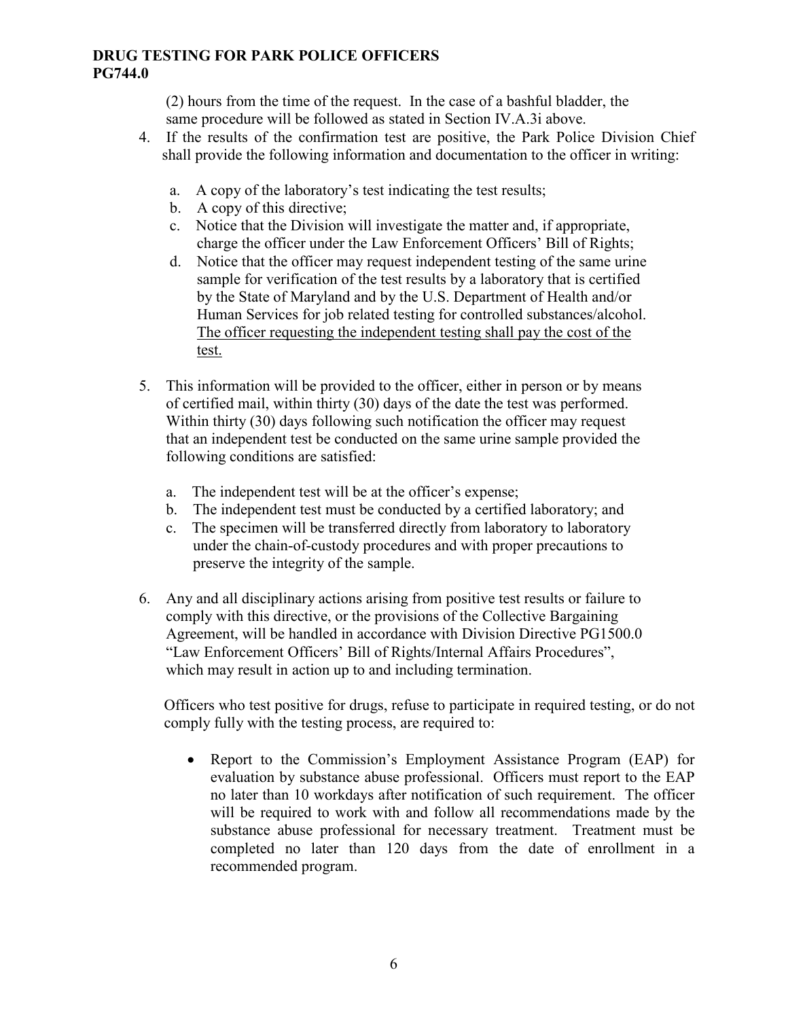(2) hours from the time of the request. In the case of a bashful bladder, the same procedure will be followed as stated in Section IV.A.3i above.

- 4. If the results of the confirmation test are positive, the Park Police Division Chief shall provide the following information and documentation to the officer in writing:
	- a. A copy of the laboratory's test indicating the test results;
	- b. A copy of this directive;
	- c. Notice that the Division will investigate the matter and, if appropriate, charge the officer under the Law Enforcement Officers' Bill of Rights;
	- d. Notice that the officer may request independent testing of the same urine sample for verification of the test results by a laboratory that is certified by the State of Maryland and by the U.S. Department of Health and/or Human Services for job related testing for controlled substances/alcohol. The officer requesting the independent testing shall pay the cost of the test.
- 5. This information will be provided to the officer, either in person or by means of certified mail, within thirty (30) days of the date the test was performed. Within thirty (30) days following such notification the officer may request that an independent test be conducted on the same urine sample provided the following conditions are satisfied:
	- a. The independent test will be at the officer's expense;
	- b. The independent test must be conducted by a certified laboratory; and
	- c. The specimen will be transferred directly from laboratory to laboratory under the chain-of-custody procedures and with proper precautions to preserve the integrity of the sample.
- 6. Any and all disciplinary actions arising from positive test results or failure to comply with this directive, or the provisions of the Collective Bargaining Agreement, will be handled in accordance with Division Directive PG1500.0 "Law Enforcement Officers' Bill of Rights/Internal Affairs Procedures", which may result in action up to and including termination.

Officers who test positive for drugs, refuse to participate in required testing, or do not comply fully with the testing process, are required to:

• Report to the Commission's Employment Assistance Program (EAP) for evaluation by substance abuse professional. Officers must report to the EAP no later than 10 workdays after notification of such requirement. The officer will be required to work with and follow all recommendations made by the substance abuse professional for necessary treatment. Treatment must be completed no later than 120 days from the date of enrollment in a recommended program.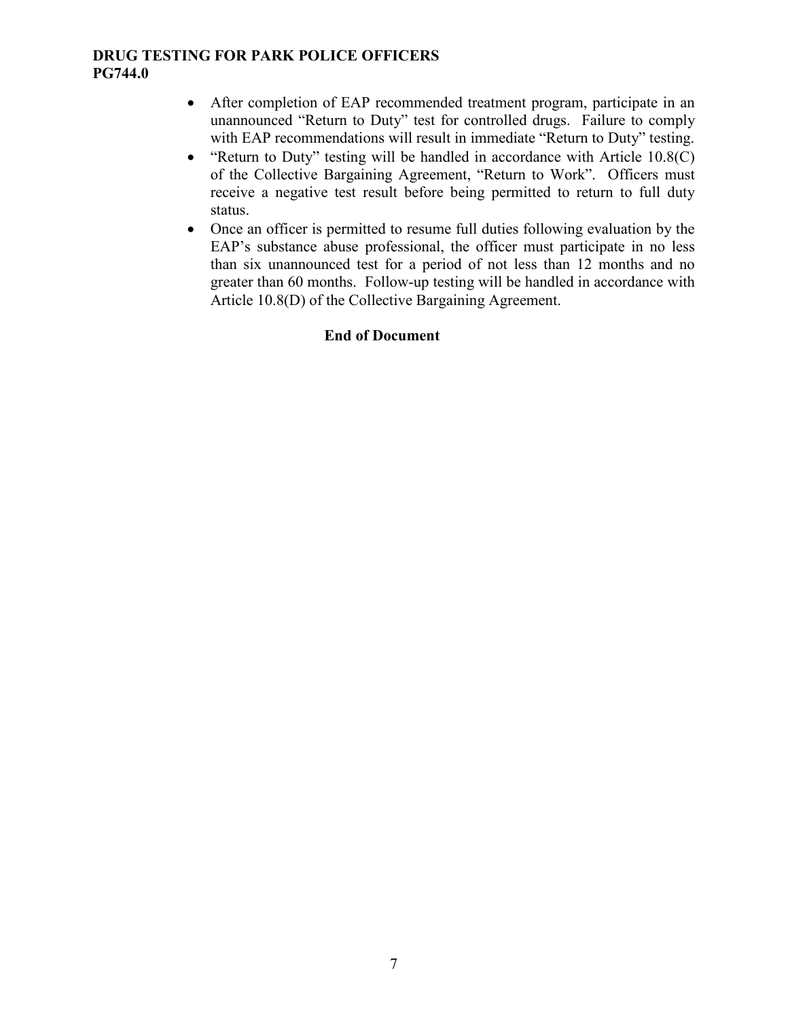- After completion of EAP recommended treatment program, participate in an unannounced "Return to Duty" test for controlled drugs. Failure to comply with EAP recommendations will result in immediate "Return to Duty" testing.
- "Return to Duty" testing will be handled in accordance with Article 10.8(C) of the Collective Bargaining Agreement, "Return to Work". Officers must receive a negative test result before being permitted to return to full duty status.
- Once an officer is permitted to resume full duties following evaluation by the EAP's substance abuse professional, the officer must participate in no less than six unannounced test for a period of not less than 12 months and no greater than 60 months. Follow-up testing will be handled in accordance with Article 10.8(D) of the Collective Bargaining Agreement.

## **End of Document**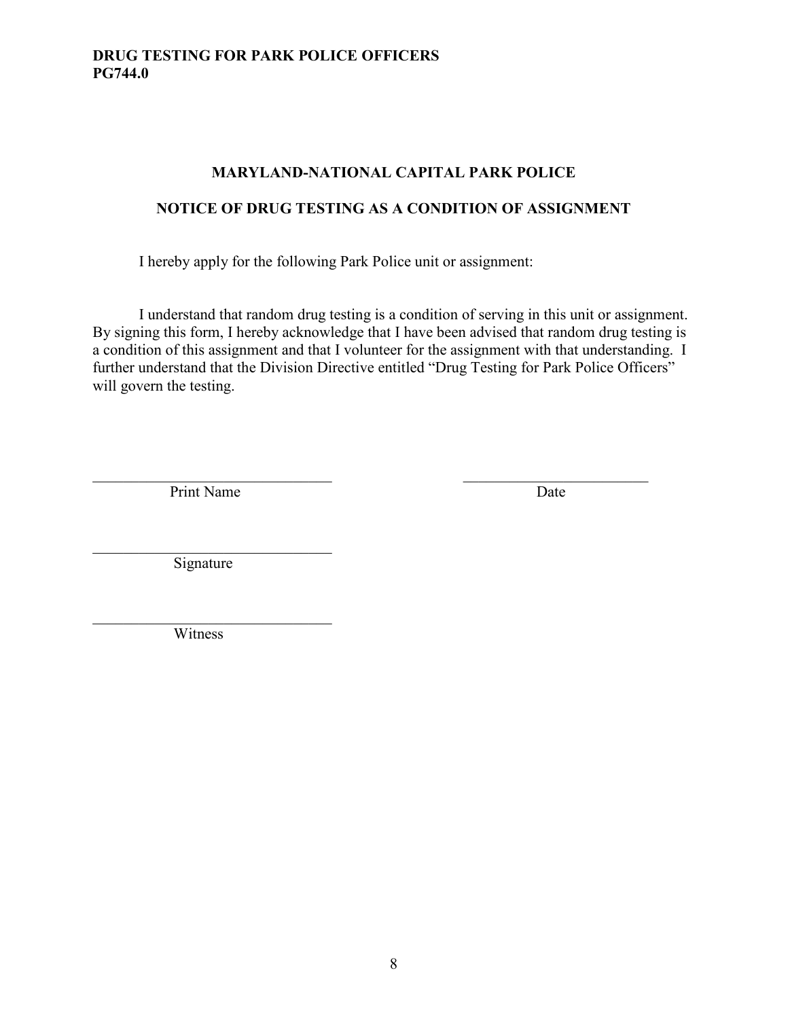## **MARYLAND-NATIONAL CAPITAL PARK POLICE**

## **NOTICE OF DRUG TESTING AS A CONDITION OF ASSIGNMENT**

I hereby apply for the following Park Police unit or assignment:

I understand that random drug testing is a condition of serving in this unit or assignment. By signing this form, I hereby acknowledge that I have been advised that random drug testing is a condition of this assignment and that I volunteer for the assignment with that understanding. I further understand that the Division Directive entitled "Drug Testing for Park Police Officers" will govern the testing.

Print Name Date

 $\overline{\phantom{a}}$ Signature

 $\overline{\phantom{a}}$ Witness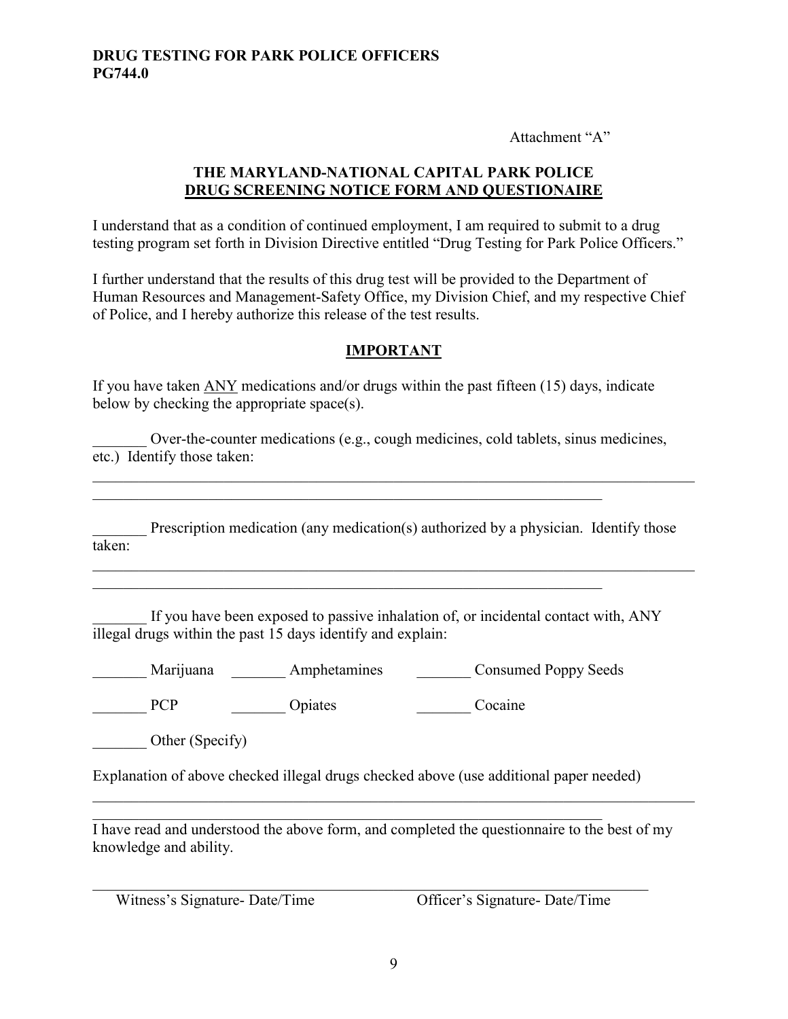Attachment "A"

### **THE MARYLAND-NATIONAL CAPITAL PARK POLICE DRUG SCREENING NOTICE FORM AND QUESTIONAIRE**

I understand that as a condition of continued employment, I am required to submit to a drug testing program set forth in Division Directive entitled "Drug Testing for Park Police Officers."

I further understand that the results of this drug test will be provided to the Department of Human Resources and Management-Safety Office, my Division Chief, and my respective Chief of Police, and I hereby authorize this release of the test results.

## **IMPORTANT**

If you have taken ANY medications and/or drugs within the past fifteen (15) days, indicate below by checking the appropriate space(s).

Over-the-counter medications (e.g., cough medicines, cold tablets, sinus medicines, etc.) Identify those taken:

 $\_$ 

 $\_$ 

Prescription medication (any medication(s) authorized by a physician. Identify those taken:

If you have been exposed to passive inhalation of, or incidental contact with, ANY illegal drugs within the past 15 days identify and explain:

\_\_\_\_\_\_\_ Marijuana \_\_\_\_\_\_\_ Amphetamines \_\_\_\_\_\_\_ Consumed Poppy Seeds

PCP Dpiates Departure Cocaine

Other (Specify)

Explanation of above checked illegal drugs checked above (use additional paper needed)

 $\mathcal{L}_\text{G}$ I have read and understood the above form, and completed the questionnaire to the best of my knowledge and ability.

 $\mathcal{L}_\text{G}$  , and the contribution of the contribution of the contribution of the contribution of the contribution of the contribution of the contribution of the contribution of the contribution of the contribution of t

\_\_\_\_\_\_\_\_\_\_\_\_\_\_\_\_\_\_\_\_\_\_\_\_\_\_\_\_\_\_\_\_\_\_\_\_\_\_\_\_\_\_\_\_\_\_\_\_\_\_\_\_\_\_\_\_\_\_\_\_\_\_\_\_\_\_\_\_\_\_\_\_\_\_\_\_\_\_

Witness's Signature- Date/Time Officer's Signature- Date/Time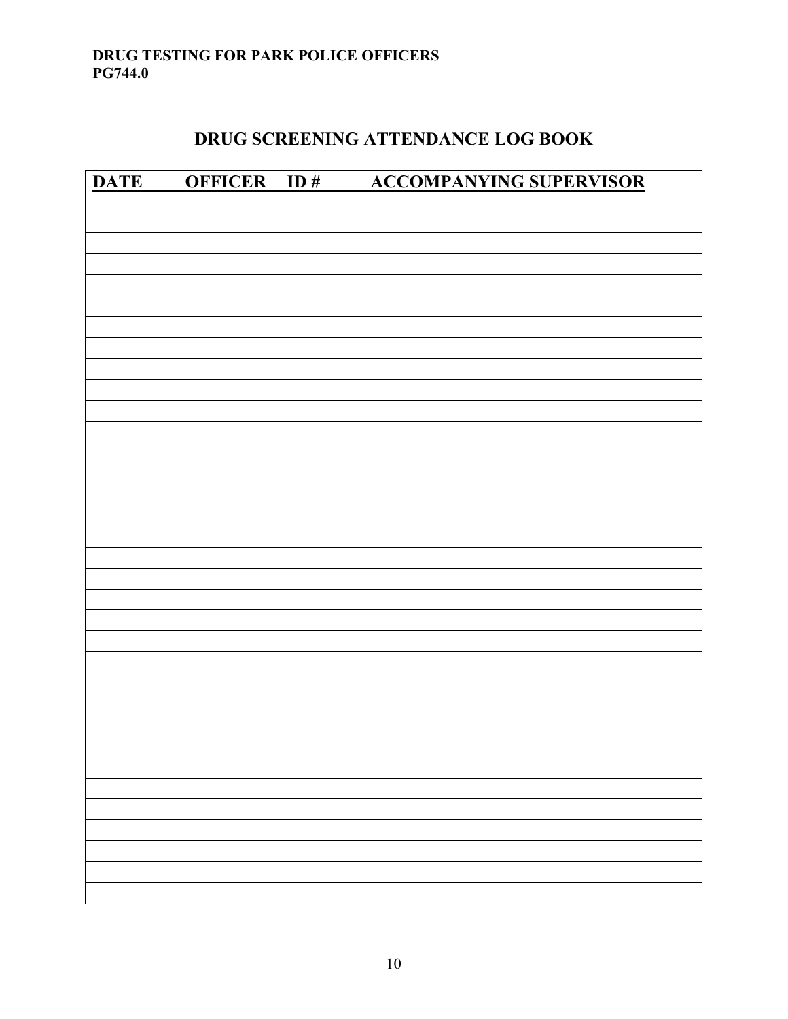## **DRUG SCREENING ATTENDANCE LOG BOOK**

|  | DATE OFFICER ID# ACCOMPANYING SUPERVISOR |
|--|------------------------------------------|
|  |                                          |
|  |                                          |
|  |                                          |
|  |                                          |
|  |                                          |
|  |                                          |
|  |                                          |
|  |                                          |
|  |                                          |
|  |                                          |
|  |                                          |
|  |                                          |
|  |                                          |
|  |                                          |
|  |                                          |
|  |                                          |
|  |                                          |
|  |                                          |
|  |                                          |
|  |                                          |
|  |                                          |
|  |                                          |
|  |                                          |
|  |                                          |
|  |                                          |
|  |                                          |
|  |                                          |
|  |                                          |
|  |                                          |
|  |                                          |